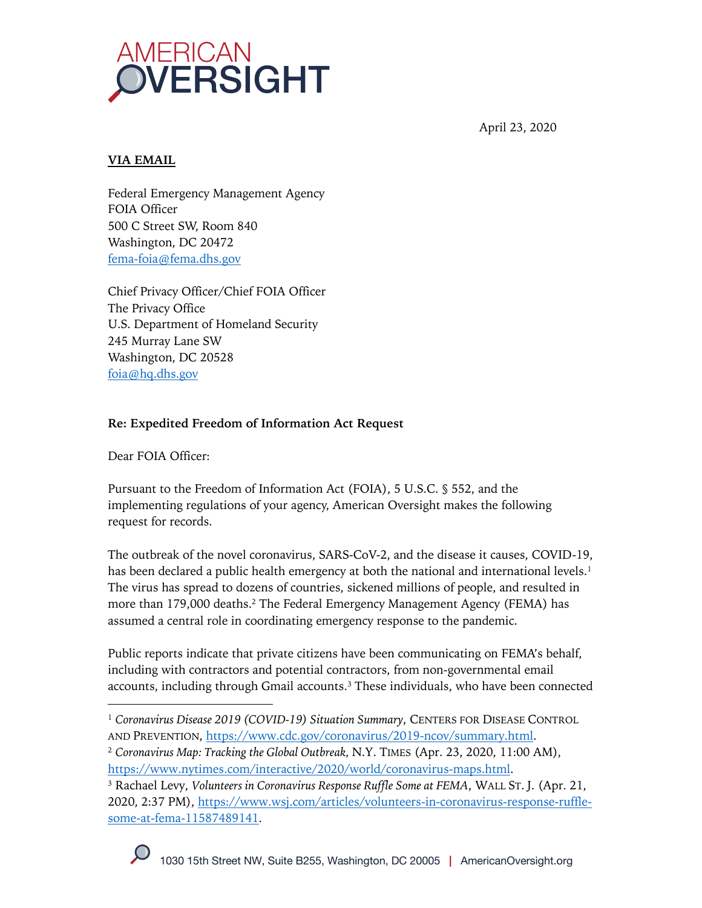

April 23, 2020

### **VIA EMAIL**

Federal Emergency Management Agency FOIA Officer 500 C Street SW, Room 840 Washington, DC 20472 fema-foia@fema.dhs.gov

Chief Privacy Officer/Chief FOIA Officer The Privacy Office U.S. Department of Homeland Security 245 Murray Lane SW Washington, DC 20528 foia@hq.dhs.gov

# **Re: Expedited Freedom of Information Act Request**

Dear FOIA Officer:

Pursuant to the Freedom of Information Act (FOIA), 5 U.S.C. § 552, and the implementing regulations of your agency, American Oversight makes the following request for records.

The outbreak of the novel coronavirus, SARS-CoV-2, and the disease it causes, COVID-19, has been declared a public health emergency at both the national and international levels.<sup>1</sup> The virus has spread to dozens of countries, sickened millions of people, and resulted in more than 179,000 deaths.<sup>2</sup> The Federal Emergency Management Agency (FEMA) has assumed a central role in coordinating emergency response to the pandemic.

Public reports indicate that private citizens have been communicating on FEMA's behalf, including with contractors and potential contractors, from non-governmental email accounts, including through Gmail accounts.<sup>3</sup> These individuals, who have been connected

<sup>&</sup>lt;sup>1</sup> Coronavirus Disease 2019 (COVID-19) Situation Summary, CENTERS FOR DISEASE CONTROL AND PREVENTION, https://www.cdc.gov/coronavirus/2019-ncov/summary.html. <sup>2</sup> *Coronavirus Map: Tracking the Global Outbreak,* N.Y. TIMES (Apr. 23, 2020, 11:00 AM), https://www.nytimes.com/interactive/2020/world/coronavirus-maps.html.

<sup>3</sup> Rachael Levy, *Volunteers in Coronavirus Response Ruffle Some at FEMA*, WALL ST. J. (Apr. 21, 2020, 2:37 PM), https://www.wsj.com/articles/volunteers-in-coronavirus-response-rufflesome-at-fema-11587489141.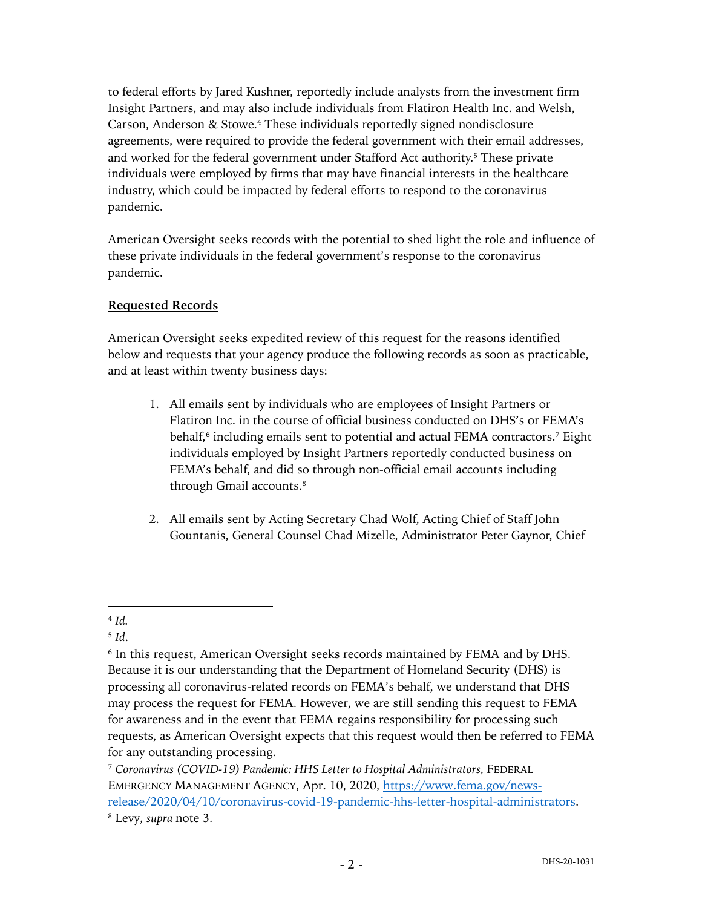to federal efforts by Jared Kushner, reportedly include analysts from the investment firm Insight Partners, and may also include individuals from Flatiron Health Inc. and Welsh, Carson, Anderson & Stowe.4 These individuals reportedly signed nondisclosure agreements, were required to provide the federal government with their email addresses, and worked for the federal government under Stafford Act authority.<sup>5</sup> These private individuals were employed by firms that may have financial interests in the healthcare industry, which could be impacted by federal efforts to respond to the coronavirus pandemic.

American Oversight seeks records with the potential to shed light the role and influence of these private individuals in the federal government's response to the coronavirus pandemic.

### **Requested Records**

American Oversight seeks expedited review of this request for the reasons identified below and requests that your agency produce the following records as soon as practicable, and at least within twenty business days:

- 1. All emails sent by individuals who are employees of Insight Partners or Flatiron Inc. in the course of official business conducted on DHS's or FEMA's behalf, $6$  including emails sent to potential and actual FEMA contractors.<sup>7</sup> Eight individuals employed by Insight Partners reportedly conducted business on FEMA's behalf, and did so through non-official email accounts including through Gmail accounts.<sup>8</sup>
- 2. All emails sent by Acting Secretary Chad Wolf, Acting Chief of Staff John Gountanis, General Counsel Chad Mizelle, Administrator Peter Gaynor, Chief

<sup>4</sup> *Id.*

<sup>5</sup> *Id*.

<sup>6</sup> In this request, American Oversight seeks records maintained by FEMA and by DHS. Because it is our understanding that the Department of Homeland Security (DHS) is processing all coronavirus-related records on FEMA's behalf, we understand that DHS may process the request for FEMA. However, we are still sending this request to FEMA for awareness and in the event that FEMA regains responsibility for processing such requests, as American Oversight expects that this request would then be referred to FEMA for any outstanding processing.

<sup>7</sup> *Coronavirus (COVID-19) Pandemic: HHS Letter to Hospital Administrators,* FEDERAL EMERGENCY MANAGEMENT AGENCY, Apr. 10, 2020, https://www.fema.gov/newsrelease/2020/04/10/coronavirus-covid-19-pandemic-hhs-letter-hospital-administrators. <sup>8</sup> Levy, *supra* note 3.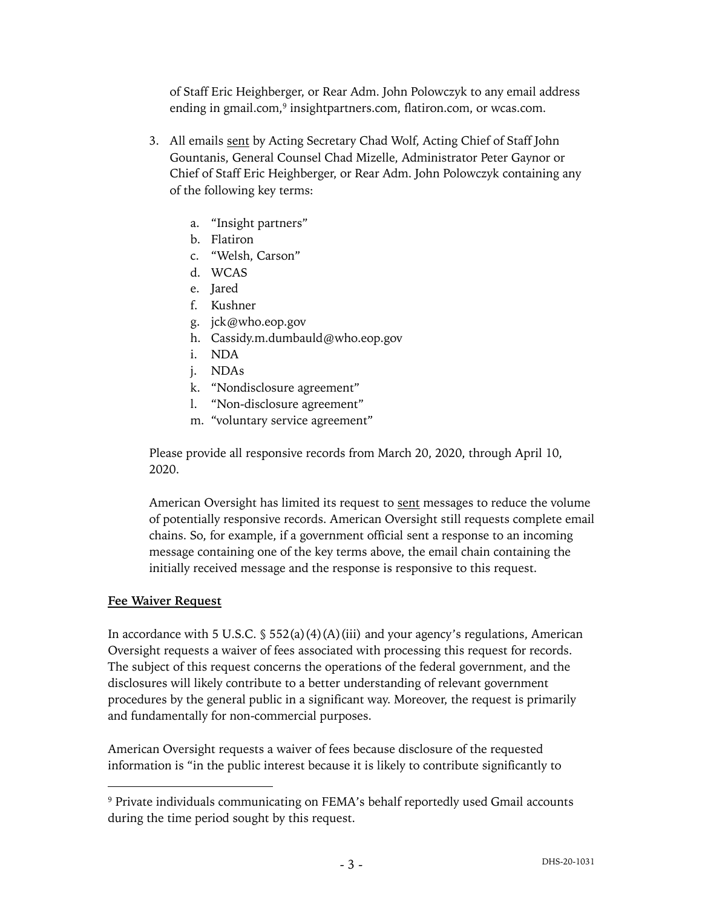of Staff Eric Heighberger, or Rear Adm. John Polowczyk to any email address ending in gmail.com,<sup>9</sup> insightpartners.com, flatiron.com, or wcas.com.

- 3. All emails sent by Acting Secretary Chad Wolf, Acting Chief of Staff John Gountanis, General Counsel Chad Mizelle, Administrator Peter Gaynor or Chief of Staff Eric Heighberger, or Rear Adm. John Polowczyk containing any of the following key terms:
	- a. "Insight partners"
	- b. Flatiron
	- c. "Welsh, Carson"
	- d. WCAS
	- e. Jared
	- f. Kushner
	- g. jck@who.eop.gov
	- h. Cassidy.m.dumbauld@who.eop.gov
	- i. NDA
	- j. NDAs
	- k. "Nondisclosure agreement"
	- l. "Non-disclosure agreement"
	- m. "voluntary service agreement"

Please provide all responsive records from March 20, 2020, through April 10, 2020.

American Oversight has limited its request to sent messages to reduce the volume of potentially responsive records. American Oversight still requests complete email chains. So, for example, if a government official sent a response to an incoming message containing one of the key terms above, the email chain containing the initially received message and the response is responsive to this request.

#### **Fee Waiver Request**

In accordance with 5 U.S.C.  $\frac{1}{5}$  552(a)(4)(A)(iii) and your agency's regulations, American Oversight requests a waiver of fees associated with processing this request for records. The subject of this request concerns the operations of the federal government, and the disclosures will likely contribute to a better understanding of relevant government procedures by the general public in a significant way. Moreover, the request is primarily and fundamentally for non-commercial purposes.

American Oversight requests a waiver of fees because disclosure of the requested information is "in the public interest because it is likely to contribute significantly to

<sup>9</sup> Private individuals communicating on FEMA's behalf reportedly used Gmail accounts during the time period sought by this request.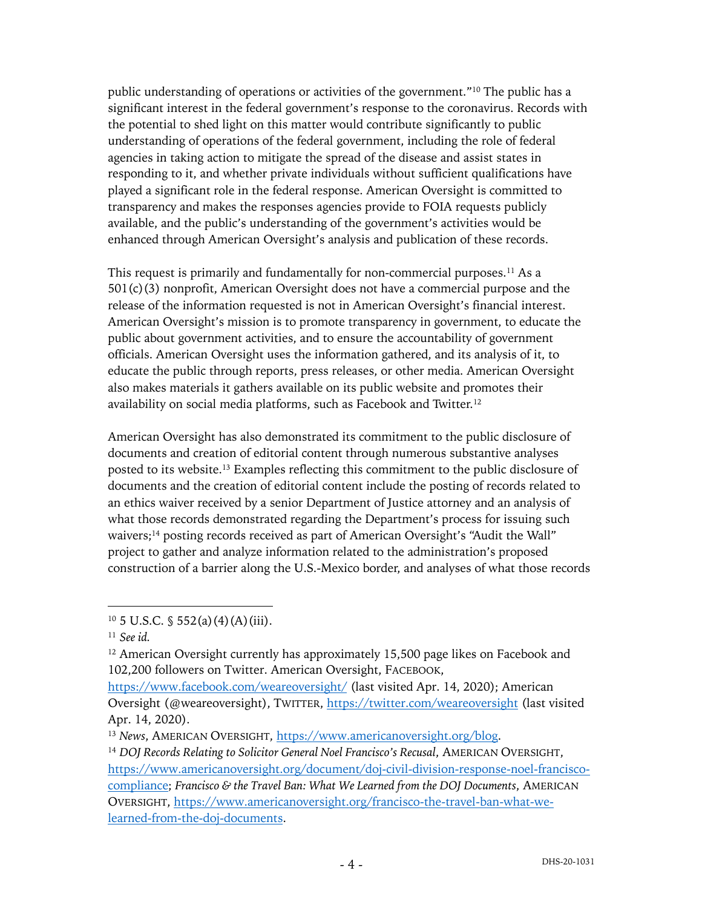public understanding of operations or activities of the government."10 The public has a significant interest in the federal government's response to the coronavirus. Records with the potential to shed light on this matter would contribute significantly to public understanding of operations of the federal government, including the role of federal agencies in taking action to mitigate the spread of the disease and assist states in responding to it, and whether private individuals without sufficient qualifications have played a significant role in the federal response. American Oversight is committed to transparency and makes the responses agencies provide to FOIA requests publicly available, and the public's understanding of the government's activities would be enhanced through American Oversight's analysis and publication of these records.

This request is primarily and fundamentally for non-commercial purposes.11 As a 501(c)(3) nonprofit, American Oversight does not have a commercial purpose and the release of the information requested is not in American Oversight's financial interest. American Oversight's mission is to promote transparency in government, to educate the public about government activities, and to ensure the accountability of government officials. American Oversight uses the information gathered, and its analysis of it, to educate the public through reports, press releases, or other media. American Oversight also makes materials it gathers available on its public website and promotes their availability on social media platforms, such as Facebook and Twitter.12

American Oversight has also demonstrated its commitment to the public disclosure of documents and creation of editorial content through numerous substantive analyses posted to its website.13 Examples reflecting this commitment to the public disclosure of documents and the creation of editorial content include the posting of records related to an ethics waiver received by a senior Department of Justice attorney and an analysis of what those records demonstrated regarding the Department's process for issuing such waivers;14 posting records received as part of American Oversight's "Audit the Wall" project to gather and analyze information related to the administration's proposed construction of a barrier along the U.S.-Mexico border, and analyses of what those records

 $10\,5$  U.S.C. § 552(a)(4)(A)(iii).

<sup>11</sup> *See id.*

<sup>&</sup>lt;sup>12</sup> American Oversight currently has approximately 15,500 page likes on Facebook and 102,200 followers on Twitter. American Oversight, FACEBOOK,

https://www.facebook.com/weareoversight/ (last visited Apr. 14, 2020); American Oversight (@weareoversight), TWITTER, https://twitter.com/weareoversight (last visited Apr. 14, 2020).

<sup>13</sup> *News*, AMERICAN OVERSIGHT, https://www.americanoversight.org/blog.

<sup>&</sup>lt;sup>14</sup> *DOJ Records Relating to Solicitor General Noel Francisco's Recusal, AMERICAN OVERSIGHT,* https://www.americanoversight.org/document/doj-civil-division-response-noel-franciscocompliance; *Francisco & the Travel Ban: What We Learned from the DOJ Documents*, AMERICAN OVERSIGHT, https://www.americanoversight.org/francisco-the-travel-ban-what-welearned-from-the-doj-documents.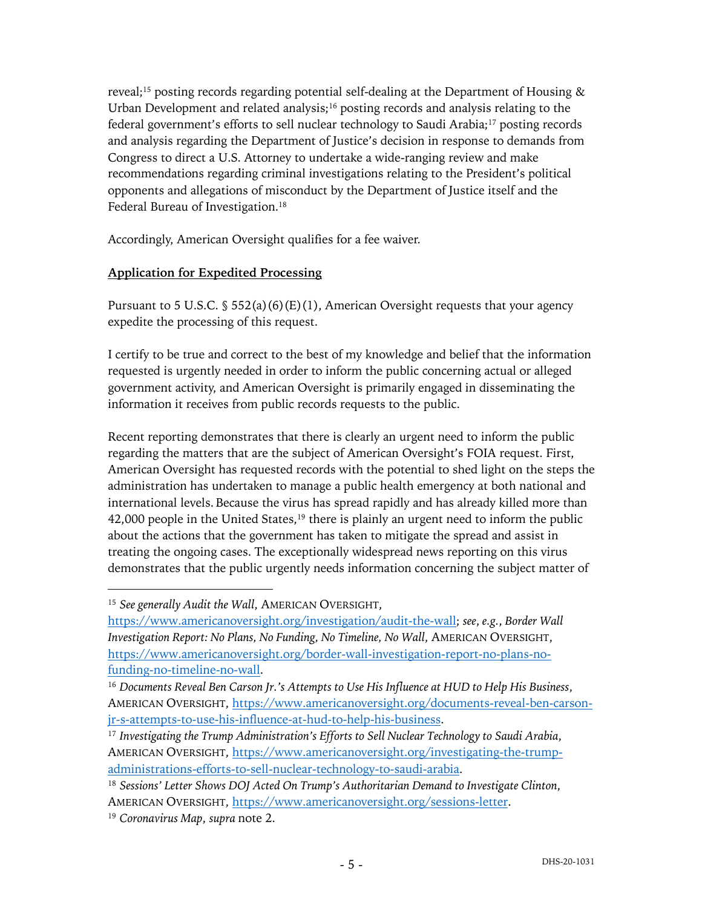reveal;15 posting records regarding potential self-dealing at the Department of Housing & Urban Development and related analysis; $16$  posting records and analysis relating to the federal government's efforts to sell nuclear technology to Saudi Arabia;<sup>17</sup> posting records and analysis regarding the Department of Justice's decision in response to demands from Congress to direct a U.S. Attorney to undertake a wide-ranging review and make recommendations regarding criminal investigations relating to the President's political opponents and allegations of misconduct by the Department of Justice itself and the Federal Bureau of Investigation.<sup>18</sup>

Accordingly, American Oversight qualifies for a fee waiver.

### **Application for Expedited Processing**

Pursuant to 5 U.S.C.  $\frac{552(a)(6)(E)(1)}{2}$ , American Oversight requests that your agency expedite the processing of this request.

I certify to be true and correct to the best of my knowledge and belief that the information requested is urgently needed in order to inform the public concerning actual or alleged government activity, and American Oversight is primarily engaged in disseminating the information it receives from public records requests to the public.

Recent reporting demonstrates that there is clearly an urgent need to inform the public regarding the matters that are the subject of American Oversight's FOIA request. First, American Oversight has requested records with the potential to shed light on the steps the administration has undertaken to manage a public health emergency at both national and international levels. Because the virus has spread rapidly and has already killed more than 42,000 people in the United States,<sup>19</sup> there is plainly an urgent need to inform the public about the actions that the government has taken to mitigate the spread and assist in treating the ongoing cases. The exceptionally widespread news reporting on this virus demonstrates that the public urgently needs information concerning the subject matter of

<sup>15</sup> *See generally Audit the Wall*, AMERICAN OVERSIGHT,

https://www.americanoversight.org/investigation/audit-the-wall; *see*, *e.g.*, *Border Wall Investigation Report: No Plans, No Funding, No Timeline, No Wall*, AMERICAN OVERSIGHT, https://www.americanoversight.org/border-wall-investigation-report-no-plans-nofunding-no-timeline-no-wall.

<sup>16</sup> *Documents Reveal Ben Carson Jr.'s Attempts to Use His Influence at HUD to Help His Business*, AMERICAN OVERSIGHT, https://www.americanoversight.org/documents-reveal-ben-carsonjr-s-attempts-to-use-his-influence-at-hud-to-help-his-business.

<sup>17</sup> *Investigating the Trump Administration's Efforts to Sell Nuclear Technology to Saudi Arabia*, AMERICAN OVERSIGHT, https://www.americanoversight.org/investigating-the-trumpadministrations-efforts-to-sell-nuclear-technology-to-saudi-arabia.

<sup>18</sup> *Sessions' Letter Shows DOJ Acted On Trump's Authoritarian Demand to Investigate Clinton*, AMERICAN OVERSIGHT, https://www.americanoversight.org/sessions-letter.

<sup>19</sup> *Coronavirus Map*, *supra* note 2.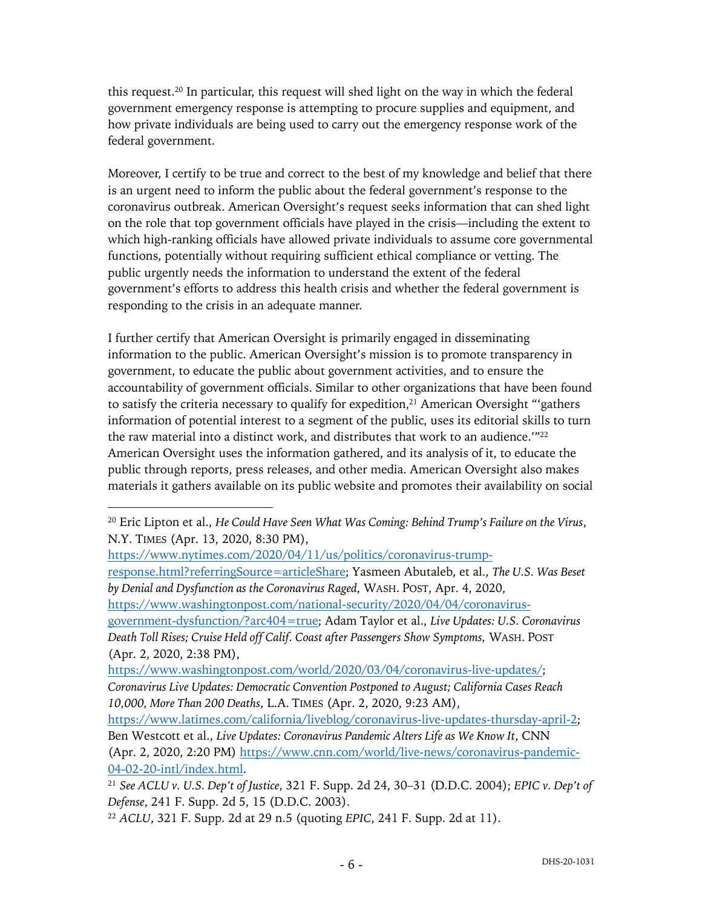this request.20 In particular, this request will shed light on the way in which the federal government emergency response is attempting to procure supplies and equipment, and how private individuals are being used to carry out the emergency response work of the federal government.

Moreover, I certify to be true and correct to the best of my knowledge and belief that there is an urgent need to inform the public about the federal government's response to the coronavirus outbreak. American Oversight's request seeks information that can shed light on the role that top government officials have played in the crisis—including the extent to which high-ranking officials have allowed private individuals to assume core governmental functions, potentially without requiring sufficient ethical compliance or vetting. The public urgently needs the information to understand the extent of the federal government's efforts to address this health crisis and whether the federal government is responding to the crisis in an adequate manner.

I further certify that American Oversight is primarily engaged in disseminating information to the public. American Oversight's mission is to promote transparency in government, to educate the public about government activities, and to ensure the accountability of government officials. Similar to other organizations that have been found to satisfy the criteria necessary to qualify for expedition,<sup>21</sup> American Oversight "'gathers' information of potential interest to a segment of the public, uses its editorial skills to turn the raw material into a distinct work, and distributes that work to an audience. $122$ American Oversight uses the information gathered, and its analysis of it, to educate the public through reports, press releases, and other media. American Oversight also makes materials it gathers available on its public website and promotes their availability on social

https://www.nytimes.com/2020/04/11/us/politics/coronavirus-trumpresponse.html?referringSource=articleShare; Yasmeen Abutaleb, et al., *The U.S. Was Beset by Denial and Dysfunction as the Coronavirus Raged*, WASH. POST, Apr. 4, 2020, https://www.washingtonpost.com/national-security/2020/04/04/coronavirusgovernment-dysfunction/?arc404=true; Adam Taylor et al., *Live Updates: U.S. Coronavirus Death Toll Rises; Cruise Held off Calif. Coast after Passengers Show Symptoms,* WASH. POST (Apr. 2, 2020, 2:38 PM), https://www.washingtonpost.com/world/2020/03/04/coronavirus-live-updates/;

*Coronavirus Live Updates: Democratic Convention Postponed to August; California Cases Reach 10,000, More Than 200 Deaths*, L.A. TIMES (Apr. 2, 2020, 9:23 AM),

https://www.latimes.com/california/liveblog/coronavirus-live-updates-thursday-april-2; Ben Westcott et al., *Live Updates: Coronavirus Pandemic Alters Life as We Know It*, CNN (Apr. 2, 2020, 2:20 PM) https://www.cnn.com/world/live-news/coronavirus-pandemic-04-02-20-intl/index.html.

<sup>20</sup> Eric Lipton et al., *He Could Have Seen What Was Coming: Behind Trump's Failure on the Virus*, N.Y. TIMES (Apr. 13, 2020, 8:30 PM),

<sup>21</sup> *See ACLU v. U.S. Dep't of Justice*, 321 F. Supp. 2d 24, 30–31 (D.D.C. 2004); *EPIC v. Dep't of Defense*, 241 F. Supp. 2d 5, 15 (D.D.C. 2003).

<sup>22</sup> *ACLU*, 321 F. Supp. 2d at 29 n.5 (quoting *EPIC*, 241 F. Supp. 2d at 11).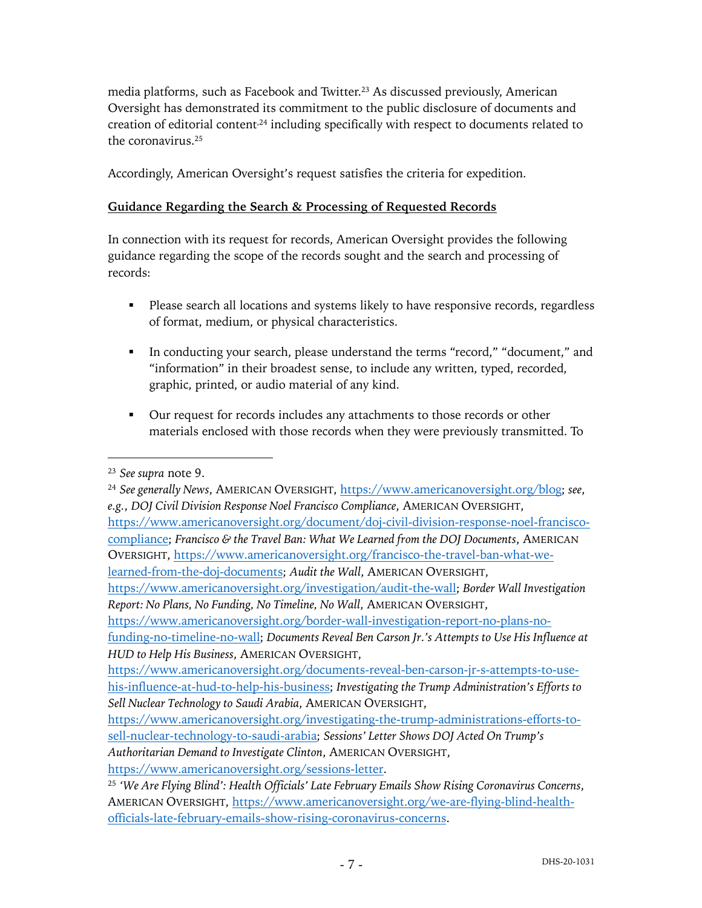media platforms, such as Facebook and Twitter.23 As discussed previously, American Oversight has demonstrated its commitment to the public disclosure of documents and creation of editorial content<sup>24</sup> including specifically with respect to documents related to the coronavirus.25

Accordingly, American Oversight's request satisfies the criteria for expedition.

# **Guidance Regarding the Search & Processing of Requested Records**

In connection with its request for records, American Oversight provides the following guidance regarding the scope of the records sought and the search and processing of records:

- Please search all locations and systems likely to have responsive records, regardless of format, medium, or physical characteristics.
- § In conducting your search, please understand the terms "record," "document," and "information" in their broadest sense, to include any written, typed, recorded, graphic, printed, or audio material of any kind.
- Our request for records includes any attachments to those records or other materials enclosed with those records when they were previously transmitted. To

*Sell Nuclear Technology to Saudi Arabia*, AMERICAN OVERSIGHT,

https://www.americanoversight.org/investigating-the-trump-administrations-efforts-tosell-nuclear-technology-to-saudi-arabia; *Sessions' Letter Shows DOJ Acted On Trump's Authoritarian Demand to Investigate Clinton*, AMERICAN OVERSIGHT,

https://www.americanoversight.org/sessions-letter.

<sup>23</sup> *See supra* note 9.

<sup>24</sup> *See generally News*, AMERICAN OVERSIGHT, https://www.americanoversight.org/blog; *see*, *e.g.*, *DOJ Civil Division Response Noel Francisco Compliance*, AMERICAN OVERSIGHT, https://www.americanoversight.org/document/doj-civil-division-response-noel-franciscocompliance; *Francisco & the Travel Ban: What We Learned from the DOJ Documents*, AMERICAN OVERSIGHT, https://www.americanoversight.org/francisco-the-travel-ban-what-welearned-from-the-doj-documents; *Audit the Wall*, AMERICAN OVERSIGHT, https://www.americanoversight.org/investigation/audit-the-wall; *Border Wall Investigation Report: No Plans, No Funding, No Timeline, No Wall*, AMERICAN OVERSIGHT, https://www.americanoversight.org/border-wall-investigation-report-no-plans-nofunding-no-timeline-no-wall; *Documents Reveal Ben Carson Jr.'s Attempts to Use His Influence at HUD to Help His Business*, AMERICAN OVERSIGHT, https://www.americanoversight.org/documents-reveal-ben-carson-jr-s-attempts-to-usehis-influence-at-hud-to-help-his-business; *Investigating the Trump Administration's Efforts to* 

<sup>25</sup> *'We Are Flying Blind': Health Officials' Late February Emails Show Rising Coronavirus Concerns*, AMERICAN OVERSIGHT, https://www.americanoversight.org/we-are-flying-blind-healthofficials-late-february-emails-show-rising-coronavirus-concerns.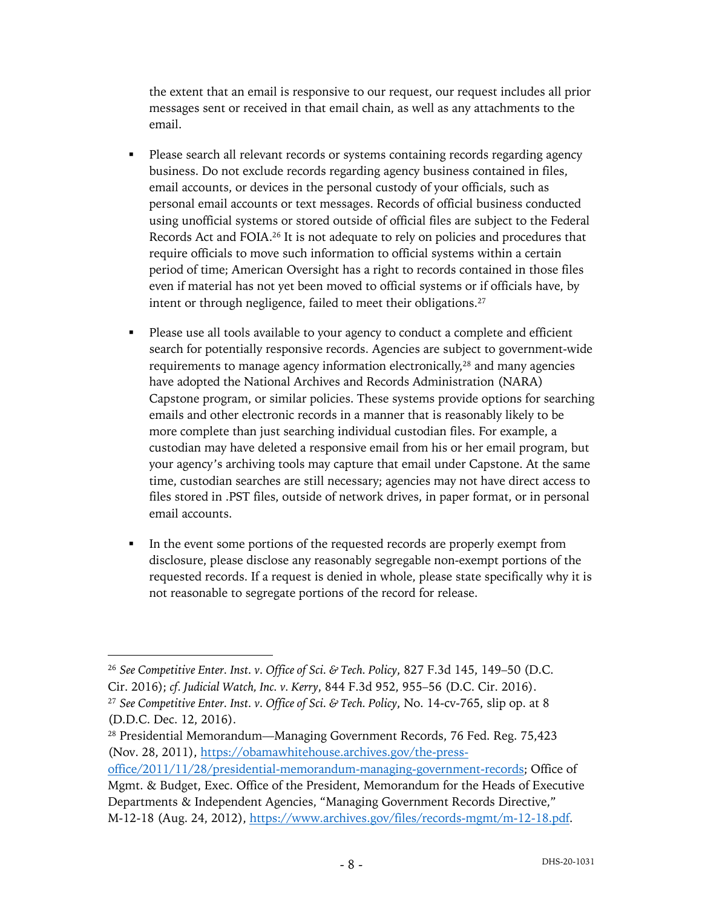the extent that an email is responsive to our request, our request includes all prior messages sent or received in that email chain, as well as any attachments to the email.

- Please search all relevant records or systems containing records regarding agency business. Do not exclude records regarding agency business contained in files, email accounts, or devices in the personal custody of your officials, such as personal email accounts or text messages. Records of official business conducted using unofficial systems or stored outside of official files are subject to the Federal Records Act and FOIA.26 It is not adequate to rely on policies and procedures that require officials to move such information to official systems within a certain period of time; American Oversight has a right to records contained in those files even if material has not yet been moved to official systems or if officials have, by intent or through negligence, failed to meet their obligations.<sup>27</sup>
- Please use all tools available to your agency to conduct a complete and efficient search for potentially responsive records. Agencies are subject to government-wide requirements to manage agency information electronically,28 and many agencies have adopted the National Archives and Records Administration (NARA) Capstone program, or similar policies. These systems provide options for searching emails and other electronic records in a manner that is reasonably likely to be more complete than just searching individual custodian files. For example, a custodian may have deleted a responsive email from his or her email program, but your agency's archiving tools may capture that email under Capstone. At the same time, custodian searches are still necessary; agencies may not have direct access to files stored in .PST files, outside of network drives, in paper format, or in personal email accounts.
- In the event some portions of the requested records are properly exempt from disclosure, please disclose any reasonably segregable non-exempt portions of the requested records. If a request is denied in whole, please state specifically why it is not reasonable to segregate portions of the record for release.

<sup>26</sup> *See Competitive Enter. Inst. v. Office of Sci. & Tech. Policy*, 827 F.3d 145, 149–50 (D.C. Cir. 2016); *cf. Judicial Watch, Inc. v. Kerry*, 844 F.3d 952, 955–56 (D.C. Cir. 2016).

<sup>27</sup> *See Competitive Enter. Inst. v. Office of Sci. & Tech. Policy*, No. 14-cv-765, slip op. at 8 (D.D.C. Dec. 12, 2016).

<sup>28</sup> Presidential Memorandum—Managing Government Records, 76 Fed. Reg. 75,423 (Nov. 28, 2011), https://obamawhitehouse.archives.gov/the-press-

office/2011/11/28/presidential-memorandum-managing-government-records; Office of Mgmt. & Budget, Exec. Office of the President, Memorandum for the Heads of Executive Departments & Independent Agencies, "Managing Government Records Directive," M-12-18 (Aug. 24, 2012), https://www.archives.gov/files/records-mgmt/m-12-18.pdf.